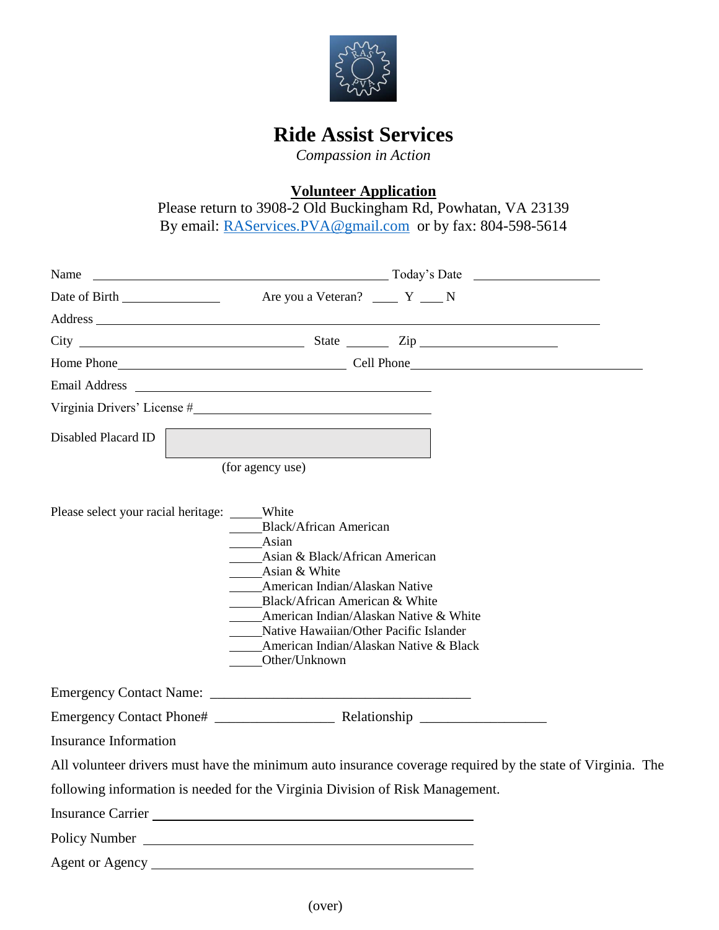

## **Ride Assist Services**

*Compassion in Action*

**Volunteer Application**

Please return to 3908-2 Old Buckingham Rd, Powhatan, VA 23139 By email: [RAServices.PVA@gmail.com](mailto:RAServices.PVA@gmail.com) or by fax: 804-598-5614

|                                           | Name Today's Date Theory of Today's Date Theory and Today's Date Theory of Today's Date Theory of Today's Date                                                                                                                                                                                                                      |
|-------------------------------------------|-------------------------------------------------------------------------------------------------------------------------------------------------------------------------------------------------------------------------------------------------------------------------------------------------------------------------------------|
|                                           |                                                                                                                                                                                                                                                                                                                                     |
|                                           | Address and the contract of the contract of the contract of the contract of the contract of the contract of the contract of the contract of the contract of the contract of the contract of the contract of the contract of th                                                                                                      |
|                                           |                                                                                                                                                                                                                                                                                                                                     |
|                                           |                                                                                                                                                                                                                                                                                                                                     |
|                                           |                                                                                                                                                                                                                                                                                                                                     |
|                                           | Virginia Drivers' License #                                                                                                                                                                                                                                                                                                         |
| Disabled Placard ID                       |                                                                                                                                                                                                                                                                                                                                     |
|                                           |                                                                                                                                                                                                                                                                                                                                     |
|                                           | (for agency use)                                                                                                                                                                                                                                                                                                                    |
| Please select your racial heritage: White | <b>Black/African American</b><br>____Asian<br>_____Asian & Black/African American<br>____Asian & White<br>_____American Indian/Alaskan Native<br>Black/African American & White<br>American Indian/Alaskan Native & White<br>Native Hawaiian/Other Pacific Islander<br>_____American Indian/Alaskan Native & Black<br>Other/Unknown |
|                                           |                                                                                                                                                                                                                                                                                                                                     |
|                                           |                                                                                                                                                                                                                                                                                                                                     |
| <b>Insurance Information</b>              |                                                                                                                                                                                                                                                                                                                                     |
|                                           | All volunteer drivers must have the minimum auto insurance coverage required by the state of Virginia. The                                                                                                                                                                                                                          |
|                                           | following information is needed for the Virginia Division of Risk Management.                                                                                                                                                                                                                                                       |
|                                           |                                                                                                                                                                                                                                                                                                                                     |
|                                           | Policy Number 2014                                                                                                                                                                                                                                                                                                                  |
| Agent or Agency                           |                                                                                                                                                                                                                                                                                                                                     |